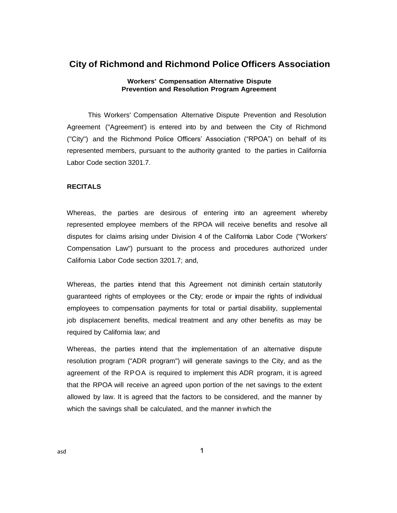# **City of Richmond and Richmond Police Officers Association**

# **Workers' Compensation Alternative Dispute Prevention and Resolution Program Agreement**

This Workers' Compensation Alternative Dispute Prevention and Resolution Agreement ("Agreement') is entered into by and between the City of Richmond ("City") and the Richmond Police Officers' Association ("RPOA") on behalf of its represented members, pursuant to the authority granted to the parties in California Labor Code section 3201.7.

### **RECITALS**

Whereas, the parties are desirous of entering into an agreement whereby represented employee members of the RPOA will receive benefits and resolve all disputes for claims arising under Division 4 of the California Labor Code ("Workers' Compensation Law'') pursuant to the process and procedures authorized under California Labor Code section 3201.7; and,

Whereas, the parties intend that this Agreement not diminish certain statutorily guaranteed rights of employees or the City; erode or impair the rights of individual employees to compensation payments for total or partial disability, supplemental job displacement benefits, medical treatment and any other benefits as may be required by California law; and

Whereas, the parties intend that the implementation of an alternative dispute resolution program ("ADR program") will generate savings to the City, and as the agreement of the RPOA is required to implement this ADR program, it is agreed that the RPOA will receive an agreed upon portion of the net savings to the extent allowed by law. It is agreed that the factors to be considered, and the manner by which the savings shall be calculated, and the manner inwhich the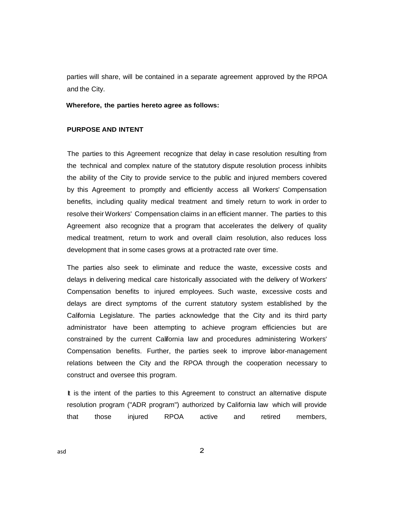parties will share, will be contained in a separate agreement approved by the RPOA and the City.

#### **Wherefore, the parties hereto agree as follows:**

## **PURPOSE AND INTENT**

The parties to this Agreement recognize that delay in case resolution resulting from the technical and complex nature of the statutory dispute resolution process inhibits the ability of the City to provide service to the public and injured members covered by this Agreement to promptly and efficiently access all Workers' Compensation benefits, including quality medical treatment and timely return to work in order to resolve their Workers' Compensation claims in an efficient manner. The parties to this Agreement also recognize that a program that accelerates the delivery of quality medical treatment, return to work and overall claim resolution, also reduces loss development that in some cases grows at a protracted rate over time.

The parties also seek to eliminate and reduce the waste, excessive costs and delays in delivering medical care historically associated with the delivery of Workers' Compensation benefits to injured employees. Such waste, excessive costs and delays are direct symptoms of the current statutory system established by the California Legislature. The parties acknowledge that the City and its third party administrator have been attempting to achieve program efficiencies but are constrained by the current California law and procedures administering Workers' Compensation benefits. Further, the parties seek to improve labor-management relations between the City and the RPOA through the cooperation necessary to construct and oversee this program.

It is the intent of the parties to this Agreement to construct an alternative dispute resolution program ("ADR program") authorized by California law which will provide that those injured RPOA active and retired members,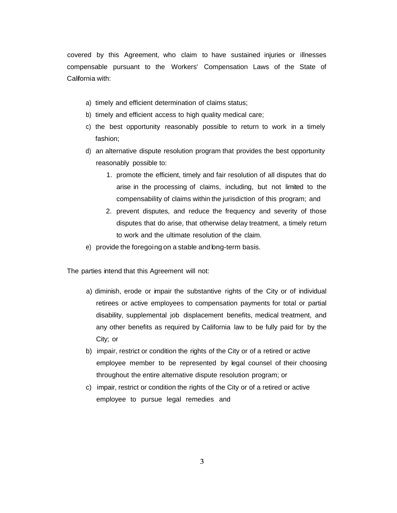covered by this Agreement, who claim to have sustained injuries or illnesses compensable pursuant to the Workers' Compensation Laws of the State of California with:

- a) timely and efficient determination of claims status;
- b) timely and efficient access to high quality medical care;
- c) the best opportunity reasonably possible to return to work in a timely fashion;
- d) an alternative dispute resolution program that provides the best opportunity reasonably possible to:
	- 1. promote the efficient, timely and fair resolution of all disputes that do arise in the processing of claims, including, but not limited to the compensability of claims within the jurisdiction of this program; and
	- 2. prevent disputes, and reduce the frequency and severity of those disputes that do arise, that otherwise delay treatment, a timely return to work and the ultimate resolution of the claim.
- e) provide the foregoing on a stable and long-term basis.

The parties intend that this Agreement will not:

- a) diminish, erode or impair the substantive rights of the City or of individual retirees or active employees to compensation payments for total or partial disability, supplemental job displacement benefits, medical treatment, and any other benefits as required by California law to be fully paid for by the City; or
- b) impair, restrict or condition the rights of the City or of a retired or active employee member to be represented by legal counsel of their choosing throughout the entire alternative dispute resolution program; or
- c) impair, restrict or condition the rights of the City or of a retired or active employee to pursue legal remedies and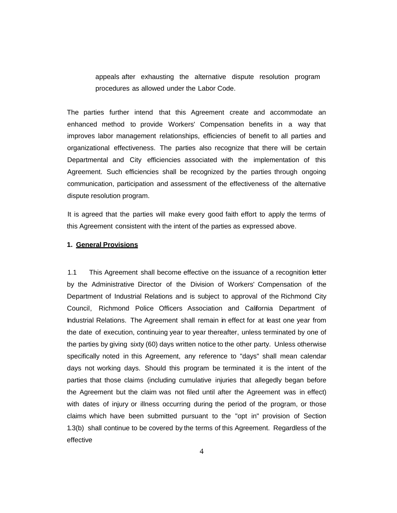appeals after exhausting the alternative dispute resolution program procedures as allowed under the Labor Code.

The parties further intend that this Agreement create and accommodate an enhanced method to provide Workers' Compensation benefits in a way that improves labor management relationships, efficiencies of benefit to all parties and organizational effectiveness. The parties also recognize that there will be certain Departmental and City efficiencies associated with the implementation of this Agreement. Such efficiencies shall be recognized by the parties through ongoing communication, participation and assessment of the effectiveness of the alternative dispute resolution program.

It is agreed that the parties will make every good faith effort to apply the terms of this Agreement consistent with the intent of the parties as expressed above.

#### **1. General Provisions**

1.1 This Agreement shall become effective on the issuance of a recognition letter by the Administrative Director of the Division of Workers' Compensation of the Department of Industrial Relations and is subject to approval of the Richmond City Council, Richmond Police Officers Association and California Department of Industrial Relations. The Agreement shall remain in effect for at least one year from the date of execution, continuing year to year thereafter, unless terminated by one of the parties by giving sixty (60) days written notice to the other party. Unless otherwise specifically noted in this Agreement, any reference to "days" shall mean calendar days not working days. Should this program be terminated it is the intent of the parties that those claims (including cumulative injuries that allegedly began before the Agreement but the claim was not filed until after the Agreement was in effect) with dates of injury or illness occurring during the period of the program, or those claims which have been submitted pursuant to the "opt in" provision of Section 1.3(b) shall continue to be covered by the terms of this Agreement. Regardless of the effective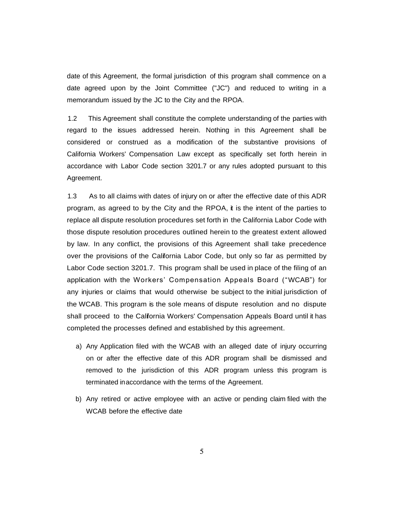date of this Agreement, the formal jurisdiction of this program shall commence on a date agreed upon by the Joint Committee ("JC") and reduced to writing in a memorandum issued by the JC to the City and the RPOA.

1.2 This Agreement shall constitute the complete understanding of the parties with regard to the issues addressed herein. Nothing in this Agreement shall be considered or construed as a modification of the substantive provisions of California Workers' Compensation Law except as specifically set forth herein in accordance with Labor Code section 3201.7 or any rules adopted pursuant to this Agreement.

1.3 As to all claims with dates of injury on or after the effective date of this ADR program, as agreed to by the City and the RPOA, it is the intent of the parties to replace all dispute resolution procedures set forth in the California Labor Code with those dispute resolution procedures outlined herein to the greatest extent allowed by law. In any conflict, the provisions of this Agreement shall take precedence over the provisions of the California Labor Code, but only so far as permitted by Labor Code section 3201.7. This program shall be used in place of the filing of an application with the Workers' Compensation Appeals Board ("WCAB") for any injuries or claims that would otherwise be subject to the initial jurisdiction of the WCAB. This program is the sole means of dispute resolution and no dispute shall proceed to the California Workers' Compensation Appeals Board until it has completed the processes defined and established by this agreement.

- a) Any Application filed with the WCAB with an alleged date of injury occurring on or after the effective date of this ADR program shall be dismissed and removed to the jurisdiction of this ADR program unless this program is terminated inaccordance with the terms of the Agreement.
- b) Any retired or active employee with an active or pending claim filed with the WCAB before the effective date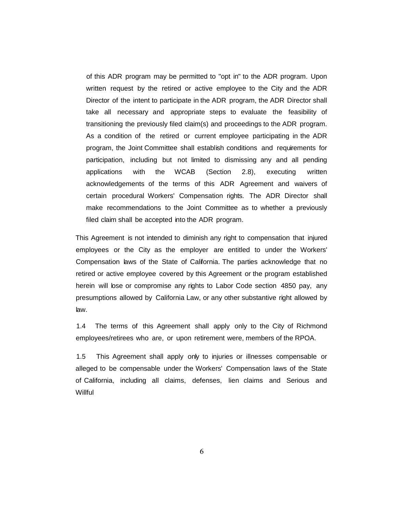of this ADR program may be permitted to "opt in" to the ADR program. Upon written request by the retired or active employee to the City and the ADR Director of the intent to participate in the ADR program, the ADR Director shall take all necessary and appropriate steps to evaluate the feasibility of transitioning the previously filed claim(s) and proceedings to the ADR program. As a condition of the retired or current employee participating in the ADR program, the Joint Committee shall establish conditions and requirements for participation, including but not limited to dismissing any and all pending applications with the WCAB (Section 2.8), executing written acknowledgements of the terms of this ADR Agreement and waivers of certain procedural Workers' Compensation rights. The ADR Director shall make recommendations to the Joint Committee as to whether a previously filed claim shall be accepted into the ADR program.

This Agreement is not intended to diminish any right to compensation that injured employees or the City as the employer are entitled to under the Workers' Compensation laws of the State of California. The parties acknowledge that no retired or active employee covered by this Agreement or the program established herein will lose or compromise any rights to Labor Code section 4850 pay, any presumptions allowed by California Law, or any other substantive right allowed by law.

1.4 The terms of this Agreement shall apply only to the City of Richmond employees/retirees who are, or upon retirement were, members of the RPOA.

1.5 This Agreement shall apply only to injuries or illnesses compensable or alleged to be compensable under the Workers' Compensation laws of the State of California, including all claims, defenses, lien claims and Serious and **Willful** 

6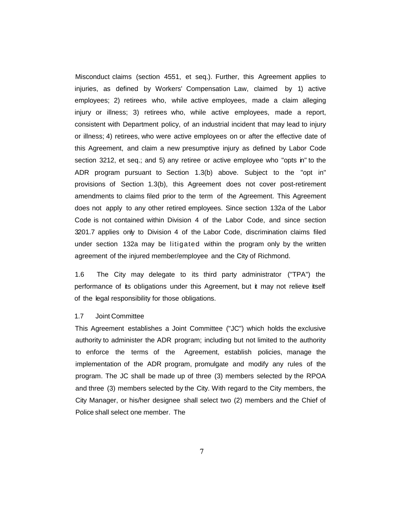Misconduct claims (section 4551, et seq.). Further, this Agreement applies to injuries, as defined by Workers' Compensation Law, claimed by 1) active employees; 2) retirees who, while active employees, made a claim alleging injury or illness; 3) retirees who, while active employees, made a report, consistent with Department policy, of an industrial incident that may lead to injury or illness; 4) retirees, who were active employees on or after the effective date of this Agreement, and claim a new presumptive injury as defined by Labor Code section 3212, et seq.; and 5) any retiree or active employee who "opts in" to the ADR program pursuant to Section 1.3(b) above. Subject to the "opt in" provisions of Section 1.3(b), this Agreement does not cover post-retirement amendments to claims filed prior to the term of the Agreement. This Agreement does not apply to any other retired employees. Since section 132a of the Labor Code is not contained within Division 4 of the Labor Code, and since section 3201.7 applies only to Division 4 of the Labor Code, discrimination claims filed under section 132a may be litigated within the program only by the written agreement of the injured member/employee and the City of Richmond.

1.6 The City may delegate to its third party administrator (''TPA") the performance of its obligations under this Agreement, but it may not relieve itself of the legal responsibility for those obligations.

#### 1.7 Joint Committee

This Agreement establishes a Joint Committee ("JC") which holds the exclusive authority to administer the ADR program; including but not limited to the authority to enforce the terms of the Agreement, establish policies, manage the implementation of the ADR program, promulgate and modify any rules of the program. The JC shall be made up of three (3) members selected by the RPOA and three (3) members selected by the City. With regard to the City members, the City Manager, or his/her designee shall select two (2) members and the Chief of Police shall select one member. The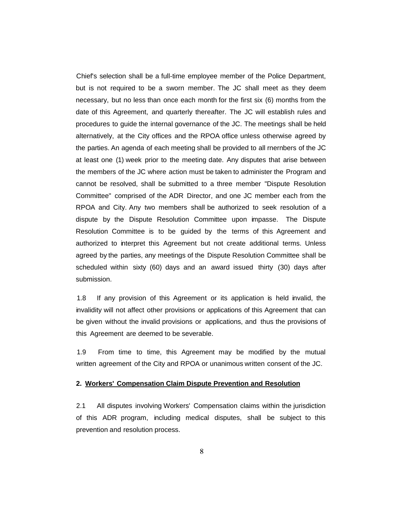Chief's selection shall be a full-time employee member of the Police Department, but is not required to be a sworn member. The JC shall meet as they deem necessary, but no less than once each month for the first six (6) months from the date of this Agreement, and quarterly thereafter. The JC will establish rules and procedures to guide the internal governance of the JC. The meetings shall be held alternatively, at the City offices and the RPOA office unless otherwise agreed by the parties. An agenda of each meeting shall be provided to all rnernbers of the JC at least one (1) week prior to the meeting date. Any disputes that arise between the members of the JC where action must be taken to administer the Program and cannot be resolved, shall be submitted to a three member "Dispute Resolution Committee" comprised of the ADR Director, and one JC member each from the RPOA and City. Any two members shall be authorized to seek resolution of a dispute by the Dispute Resolution Committee upon impasse. The Dispute Resolution Committee is to be guided by the terms of this Agreement and authorized to interpret this Agreement but not create additional terms. Unless agreed by the parties, any meetings of the Dispute Resolution Committee shall be scheduled within sixty (60) days and an award issued thirty (30) days after submission.

1.8 If any provision of this Agreement or its application is held invalid, the invalidity will not affect other provisions or applications of this Agreement that can be given without the invalid provisions or applications, and thus the provisions of this Agreement are deemed to be severable.

1.9 From time to time, this Agreement may be modified by the mutual written agreement of the City and RPOA or unanimous written consent of the JC.

#### **2. Workers' Compensation Claim Dispute Prevention and Resolution**

2.1 All disputes involving Workers' Compensation claims within the jurisdiction of this ADR program, including medical disputes, shall be subject to this prevention and resolution process.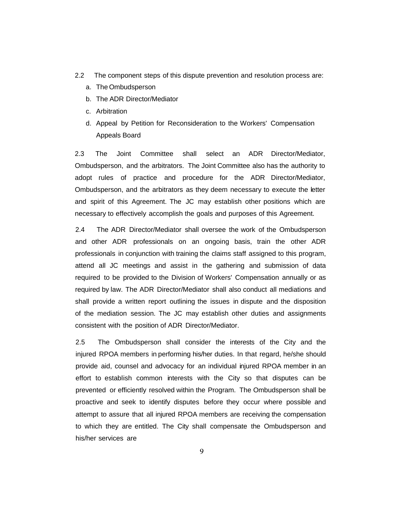- 2.2 The component steps of this dispute prevention and resolution process are:
	- a. The Ombudsperson
	- b. The ADR Director/Mediator
	- c. Arbitration
	- d. Appeal by Petition for Reconsideration to the Workers' Compensation Appeals Board

2.3 The Joint Committee shall select an ADR Director/Mediator, Ombudsperson, and the arbitrators. The Joint Committee also has the authority to adopt rules of practice and procedure for the ADR Director/Mediator, Ombudsperson, and the arbitrators as they deem necessary to execute the letter and spirit of this Agreement. The JC may establish other positions which are necessary to effectively accomplish the goals and purposes of this Agreement.

2.4 The ADR Director/Mediator shall oversee the work of the Ombudsperson and other ADR professionals on an ongoing basis, train the other ADR professionals in conjunction with training the claims staff assigned to this program, attend all JC meetings and assist in the gathering and submission of data required to be provided to the Division of Workers' Compensation annually or as required by law. The ADR Director/Mediator shall also conduct all mediations and shall provide a written report outlining the issues in dispute and the disposition of the mediation session. The JC may establish other duties and assignments consistent with the position of ADR Director/Mediator.

2.5 The Ombudsperson shall consider the interests of the City and the injured RPOA members in performing his/her duties. In that regard, he/she should provide aid, counsel and advocacy for an individual injured RPOA member in an effort to establish common interests with the City so that disputes can be prevented or efficiently resolved within the Program. The Ombudsperson shall be proactive and seek to identify disputes before they occur where possible and attempt to assure that all injured RPOA members are receiving the compensation to which they are entitled. The City shall compensate the Ombudsperson and his/her services are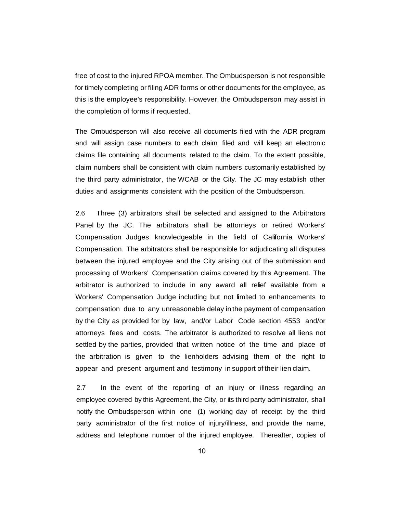free of cost to the injured RPOA member. The Ombudsperson is not responsible for timely completing or filing ADR forms or other documents for the employee, as this is the employee's responsibility. However, the Ombudsperson may assist in the completion of forms if requested.

The Ombudsperson will also receive all documents filed with the ADR program and will assign case numbers to each claim filed and will keep an electronic claims file containing all documents related to the claim. To the extent possible, claim numbers shall be consistent with claim numbers customarily established by the third party administrator, the WCAB or the City. The JC may establish other duties and assignments consistent with the position of the Ombudsperson.

2.6 Three (3) arbitrators shall be selected and assigned to the Arbitrators Panel by the JC. The arbitrators shall be attorneys or retired Workers' Compensation Judges knowledgeable in the field of California Workers' Compensation. The arbitrators shall be responsible for adjudicating all disputes between the injured employee and the City arising out of the submission and processing of Workers' Compensation claims covered by this Agreement. The arbitrator is authorized to include in any award all relief available from a Workers' Compensation Judge including but not limited to enhancements to compensation due to any unreasonable delay in the payment of compensation by the City as provided for by law, and/or Labor Code section 4553 and/or attorneys fees and costs. The arbitrator is authorized to resolve all liens not settled by the parties, provided that written notice of the time and place of the arbitration is given to the lienholders advising them of the right to appear and present argument and testimony in support of their lien claim.

2.7 In the event of the reporting of an injury or illness regarding an employee covered by this Agreement, the City, or its third party administrator, shall notify the Ombudsperson within one (1) working day of receipt by the third party administrator of the first notice of injury/illness, and provide the name, address and telephone number of the injured employee. Thereafter, copies of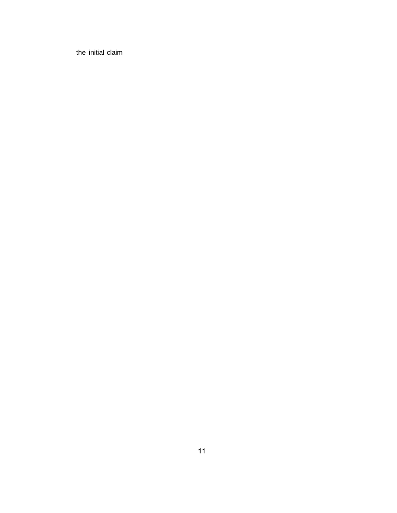the initial claim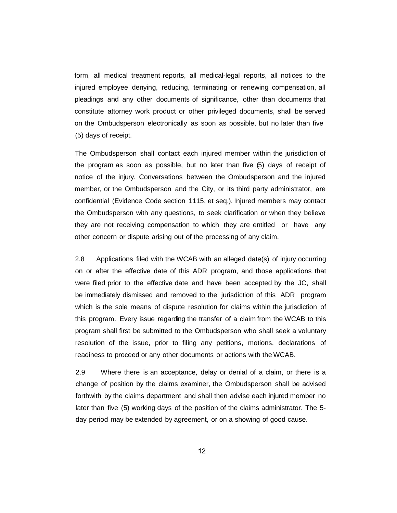form, all medical treatment reports, all medical-legal reports, all notices to the injured employee denying, reducing, terminating or renewing compensation, all pleadings and any other documents of significance, other than documents that constitute attorney work product or other privileged documents, shall be served on the Ombudsperson electronically as soon as possible, but no later than five (5) days of receipt.

The Ombudsperson shall contact each injured member within the jurisdiction of the program as soon as possible, but no later than five (5) days of receipt of notice of the injury. Conversations between the Ombudsperson and the injured member, or the Ombudsperson and the City, or its third party administrator, are confidential (Evidence Code section 1115, et seq.). Injured members may contact the Ombudsperson with any questions, to seek clarification or when they believe they are not receiving compensation to which they are entitled or have any other concern or dispute arising out of the processing of any claim.

2.8 Applications filed with the WCAB with an alleged date(s) of injury occurring on or after the effective date of this ADR program, and those applications that were filed prior to the effective date and have been accepted by the JC, shall be immediately dismissed and removed to the jurisdiction of this ADR program which is the sole means of dispute resolution for claims within the jurisdiction of this program. Every issue regarding the transfer of a claim from the WCAB to this program shall first be submitted to the Ombudsperson who shall seek a voluntary resolution of the issue, prior to filing any petitions, motions, declarations of readiness to proceed or any other documents or actions with the WCAB.

2.9 Where there is an acceptance, delay or denial of a claim, or there is a change of position by the claims examiner, the Ombudsperson shall be advised forthwith by the claims department and shall then advise each injured member no later than five (5) working days of the position of the claims administrator. The 5 day period may be extended by agreement, or on a showing of good cause.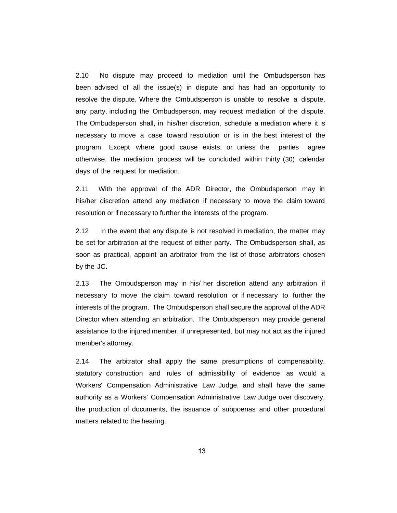2.10 No dispute may proceed to mediation until the Ombudsperson has been advised of all the issue(s) in dispute and has had an opportunity to resolve the dispute. Where the Ombudsperson is unable to resolve a dispute, any party, including the Ombudsperson, may request mediation of the dispute. The Ombudsperson shall, in his/her discretion, schedule a mediation where it is necessary to move a case toward resolution or is in the best interest of the program. Except where good cause exists, or unless the parties agree otherwise, the mediation process will be concluded within thirty (30) calendar days of the request for mediation.

2.11 With the approval of the ADR Director, the Ombudsperson may in his/her discretion attend any mediation if necessary to move the claim toward resolution or if necessary to further the interests of the program.

2.12 In the event that any dispute is not resolved in mediation, the matter may be set for arbitration at the request of either party. The Ombudsperson shall, as soon as practical, appoint an arbitrator from the list of those arbitrators chosen by the JC.

2.13 The Ombudsperson may in his/ her discretion attend any arbitration if necessary to move the claim toward resolution or if necessary to further the interests of the program. The Ombudsperson shall secure the approval of the ADR Director when attending an arbitration. The Ombudsperson may provide general assistance to the injured member, if unrepresented, but may not act as the injured member's attorney.

2.14 The arbitrator shall apply the same presumptions of compensability, statutory construction and rules of admissibility of evidence as would a Workers' Compensation Administrative Law Judge, and shall have the same authority as a Workers' Compensation Administrative Law Judge over discovery, the production of documents, the issuance of subpoenas and other procedural matters related to the hearing.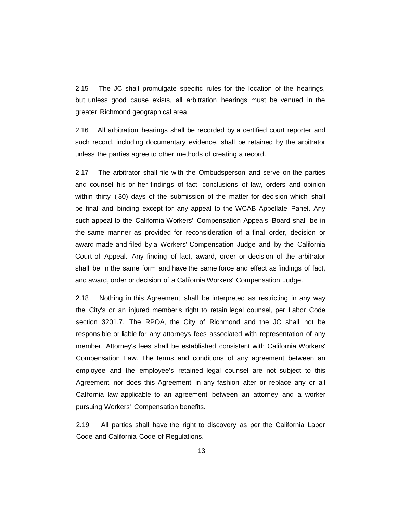2.15 The JC shall promulgate specific rules for the location of the hearings, but unless good cause exists, all arbitration hearings must be venued in the greater Richmond geographical area.

2.16 All arbitration hearings shall be recorded by a certified court reporter and such record, including documentary evidence, shall be retained by the arbitrator unless the parties agree to other methods of creating a record.

2.17 The arbitrator shall file with the Ombudsperson and serve on the parties and counsel his or her findings of fact, conclusions of law, orders and opinion within thirty ( 30) days of the submission of the matter for decision which shall be final and binding except for any appeal to the WCAB Appellate Panel. Any such appeal to the California Workers' Compensation Appeals Board shall be in the same manner as provided for reconsideration of a final order, decision or award made and filed by a Workers' Compensation Judge and by the California Court of Appeal. Any finding of fact, award, order or decision of the arbitrator shall be in the same form and have the same force and effect as findings of fact, and award, order or decision of a California Workers' Compensation Judge.

2.18 Nothing in this Agreement shall be interpreted as restricting in any way the City's or an injured member's right to retain legal counsel, per Labor Code section 3201.7. The RPOA, the City of Richmond and the JC shall not be responsible or liable for any attorneys fees associated with representation of any member. Attorney's fees shall be established consistent with California Workers' Compensation Law. The terms and conditions of any agreement between an employee and the employee's retained legal counsel are not subject to this Agreement nor does this Agreement in any fashion alter or replace any or all California law applicable to an agreement between an attorney and a worker pursuing Workers' Compensation benefits.

2.19 All parties shall have the right to discovery as per the California Labor Code and California Code of Regulations.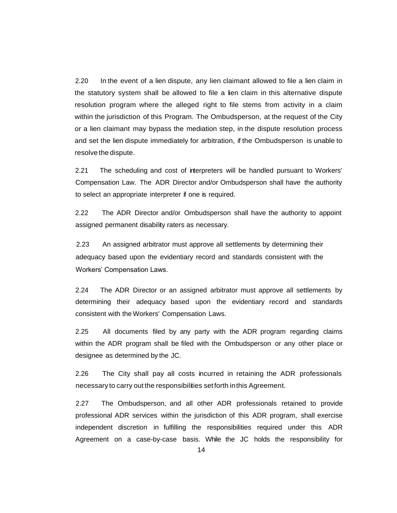2.20 In the event of a lien dispute, any lien claimant allowed to file a lien claim in the statutory system shall be allowed to file a lien claim in this alternative dispute resolution program where the alleged right to file stems from activity in a claim within the jurisdiction of this Program. The Ombudsperson, at the request of the City or a lien claimant may bypass the mediation step, in the dispute resolution process and set the lien dispute immediately for arbitration, if the Ombudsperson is unable to resolve the dispute.

2.21 The scheduling and cost of interpreters will be handled pursuant to Workers' Compensation Law. The ADR Director and/or Ombudsperson shall have the authority to select an appropriate interpreter if one is required.

2.22 The ADR Director and/or Ombudsperson shall have the authority to appoint assigned permanent disability raters as necessary.

2.23 An assigned arbitrator must approve all settlements by determining their adequacy based upon the evidentiary record and standards consistent with the Workers' Compensation Laws.

2.24 The ADR Director or an assigned arbitrator must approve all settlements by determining their adequacy based upon the evidentiary record and standards consistent with the Workers' Compensation Laws.

2.25 All documents filed by any party with the ADR program regarding claims within the ADR program shall be filed with the Ombudsperson or any other place or designee as determined by the JC.

2.26 The City shall pay all costs incurred in retaining the ADR professionals necessary to carry out the responsibilities setforth inthis Agreement.

2.27 The Ombudsperson, and all other ADR professionals retained to provide professional ADR services within the jurisdiction of this ADR program, shall exercise independent discretion in fulfilling the responsibilities required under this ADR Agreement on a case-by-case basis. While the JC holds the responsibility for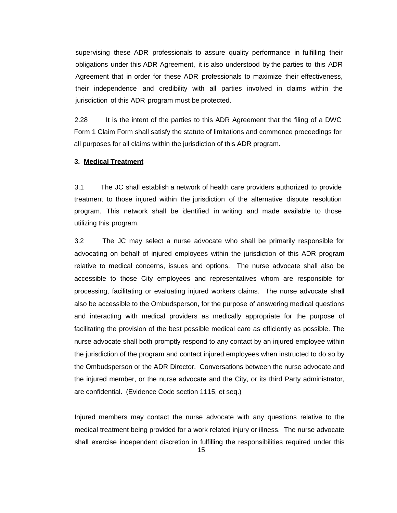supervising these ADR professionals to assure quality performance in fulfilling their obligations under this ADR Agreement, it is also understood by the parties to this ADR Agreement that in order for these ADR professionals to maximize their effectiveness, their independence and credibility with all parties involved in claims within the jurisdiction of this ADR program must be protected.

2.28 It is the intent of the parties to this ADR Agreement that the filing of a DWC Form 1 Claim Form shall satisfy the statute of limitations and commence proceedings for all purposes for all claims within the jurisdiction of this ADR program.

### **3. Medical Treatment**

3.1 The JC shall establish a network of health care providers authorized to provide treatment to those injured within the jurisdiction of the alternative dispute resolution program. This network shall be identified in writing and made available to those utilizing this program.

3.2 The JC may select a nurse advocate who shall be primarily responsible for advocating on behalf of injured employees within the jurisdiction of this ADR program relative to medical concerns, issues and options. The nurse advocate shall also be accessible to those City employees and representatives whom are responsible for processing, facilitating or evaluating injured workers claims. The nurse advocate shall also be accessible to the Ombudsperson, for the purpose of answering medical questions and interacting with medical providers as medically appropriate for the purpose of facilitating the provision of the best possible medical care as efficiently as possible. The nurse advocate shall both promptly respond to any contact by an injured employee within the jurisdiction of the program and contact injured employees when instructed to do so by the Ombudsperson or the ADR Director. Conversations between the nurse advocate and the injured member, or the nurse advocate and the City, or its third Party administrator, are confidential. (Evidence Code section 1115, et seq.)

Injured members may contact the nurse advocate with any questions relative to the medical treatment being provided for a work related injury or illness. The nurse advocate shall exercise independent discretion in fulfilling the responsibilities required under this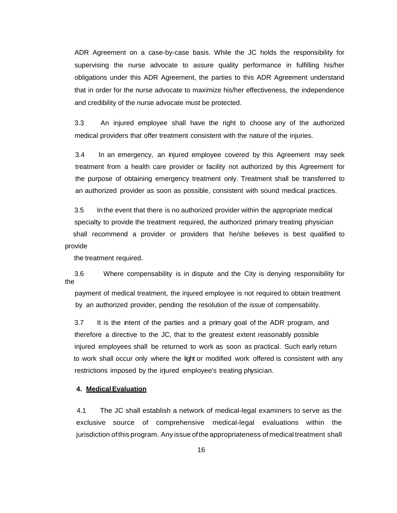ADR Agreement on a case-by-case basis. While the JC holds the responsibility for supervising the nurse advocate to assure quality performance in fulfilling his/her obligations under this ADR Agreement, the parties to this ADR Agreement understand that in order for the nurse advocate to maximize his/her effectiveness, the independence and credibility of the nurse advocate must be protected.

3.3 An injured employee shall have the right to choose any of the authorized medical providers that offer treatment consistent with the nature of the injuries.

3.4 In an emergency, an injured employee covered by this Agreement may seek treatment from a health care provider or facility not authorized by this Agreement for the purpose of obtaining emergency treatment only. Treatment shall be transferred to an authorized provider as soon as possible, consistent with sound medical practices.

 3.5 In the event that there is no authorized provider within the appropriate medical specialty to provide the treatment required, the authorized primary treating physician shall recommend a provider or providers that he/she believes is best qualified to provide

the treatment required.

 3.6 Where compensability is in dispute and the City is denying responsibility for the

 payment of medical treatment, the injured employee is not required to obtain treatment by an authorized provider, pending the resolution of the issue of compensability.

 3.7 It is the intent of the parties and a primary goal of the ADR program, and therefore a directive to the JC, that to the greatest extent reasonably possible injured employees shall be returned to work as soon as practical. Such early return to work shall occur only where the light or modified work offered is consistent with any restrictions imposed by the injured employee's treating physician.

# **4. MedicalEvaluation**

4.1 The JC shall establish a network of medical-legal examiners to serve as the exclusive source of comprehensive medical-legal evaluations within the jurisdiction ofthis program. Any issue ofthe appropriateness of medical treatment shall

16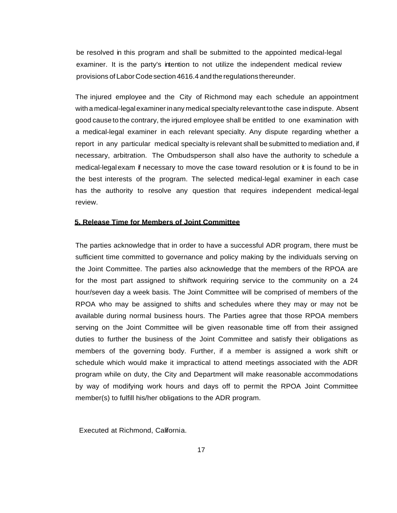be resolved in this program and shall be submitted to the appointed medical-legal examiner. It is the party's intention to not utilize the independent medical review provisions of Labor Codesection 4616.4 andtheregulations thereunder.

The injured employee and the City of Richmond may each schedule an appointment with a medical-legal examiner inany medical specialty relevant to the case in dispute. Absent good cause to the contrary, the injured employee shall be entitled to one examination with a medical-legal examiner in each relevant specialty. Any dispute regarding whether a report in any particular medical specialty is relevant shall be submitted to mediation and, if necessary, arbitration. The Ombudsperson shall also have the authority to schedule a medical-legalexam if necessary to move the case toward resolution or it is found to be in the best interests of the program. The selected medical-legal examiner in each case has the authority to resolve any question that requires independent medical-legal review.

### **5. Release Time for Members of Joint Committee**

The parties acknowledge that in order to have a successful ADR program, there must be sufficient time committed to governance and policy making by the individuals serving on the Joint Committee. The parties also acknowledge that the members of the RPOA are for the most part assigned to shiftwork requiring service to the community on a 24 hour/seven day a week basis. The Joint Committee will be comprised of members of the RPOA who may be assigned to shifts and schedules where they may or may not be available during normal business hours. The Parties agree that those RPOA members serving on the Joint Committee will be given reasonable time off from their assigned duties to further the business of the Joint Committee and satisfy their obligations as members of the governing body. Further, if a member is assigned a work shift or schedule which would make it impractical to attend meetings associated with the ADR program while on duty, the City and Department will make reasonable accommodations by way of modifying work hours and days off to permit the RPOA Joint Committee member(s) to fulfill his/her obligations to the ADR program.

Executed at Richmond, California.